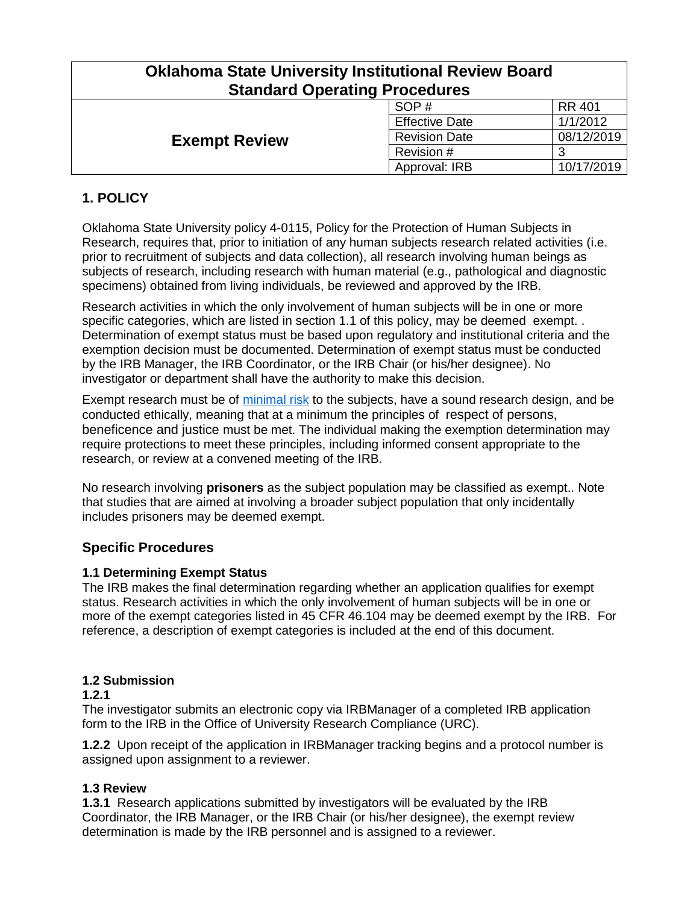| <b>Oklahoma State University Institutional Review Board</b><br><b>Standard Operating Procedures</b> |                       |               |
|-----------------------------------------------------------------------------------------------------|-----------------------|---------------|
| <b>Exempt Review</b>                                                                                | SOP#                  | <b>RR 401</b> |
|                                                                                                     | <b>Effective Date</b> | 1/1/2012      |
|                                                                                                     | <b>Revision Date</b>  | 08/12/2019    |
|                                                                                                     | Revision #            | 3             |
|                                                                                                     | Approval: IRB         | 10/17/2019    |

# **1. POLICY**

Oklahoma State University policy 4-0115, Policy for the Protection of Human Subjects in Research, requires that, prior to initiation of any human subjects research related activities (i.e. prior to recruitment of subjects and data collection), all research involving human beings as subjects of research, including research with human material (e.g., pathological and diagnostic specimens) obtained from living individuals, be reviewed and approved by the IRB.

Research activities in which the only involvement of human subjects will be in one or more specific categories, which are listed in section 1.1 of this policy, may be deemed exempt. . Determination of exempt status must be based upon regulatory and institutional criteria and the exemption decision must be documented. Determination of exempt status must be conducted by the IRB Manager, the IRB Coordinator, or the IRB Chair (or his/her designee). No investigator or department shall have the authority to make this decision.

Exempt research must be of [minimal risk](http://www.hhs.gov/ohrp/humansubjects/guidance/45cfr46.html#46.102) to the subjects, have a sound research design, and be conducted ethically, meaning that at a minimum the principles of respect of persons, beneficence and justice must be met. The individual making the exemption determination may require protections to meet these principles, including informed consent appropriate to the research, or review at a convened meeting of the IRB.

No research involving **prisoners** as the subject population may be classified as exempt.. Note that studies that are aimed at involving a broader subject population that only incidentally includes prisoners may be deemed exempt.

# **Specific Procedures**

#### **1.1 Determining Exempt Status**

The IRB makes the final determination regarding whether an application qualifies for exempt status. Research activities in which the only involvement of human subjects will be in one or more of the exempt categories listed in 45 CFR 46.104 may be deemed exempt by the IRB. For reference, a description of exempt categories is included at the end of this document.

### **1.2 Submission**

#### **1.2.1**

The investigator submits an electronic copy via IRBManager of a completed IRB application form to the IRB in the Office of University Research Compliance (URC).

**1.2.2** Upon receipt of the application in IRBManager tracking begins and a protocol number is assigned upon assignment to a reviewer.

# **1.3 Review**

**1.3.1** Research applications submitted by investigators will be evaluated by the IRB Coordinator, the IRB Manager, or the IRB Chair (or his/her designee), the exempt review determination is made by the IRB personnel and is assigned to a reviewer.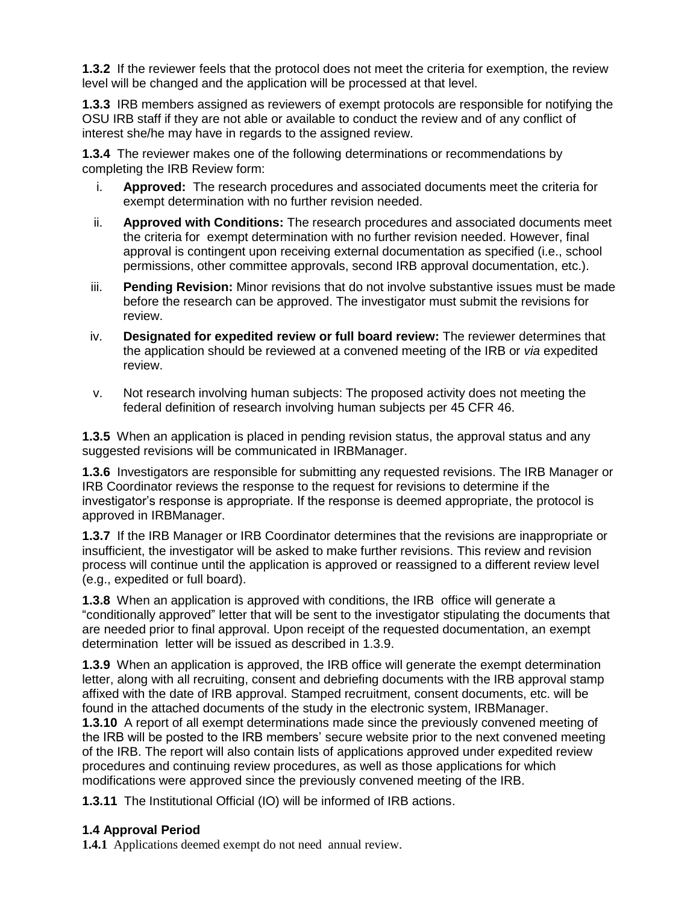**1.3.2** If the reviewer feels that the protocol does not meet the criteria for exemption, the review level will be changed and the application will be processed at that level.

**1.3.3** IRB members assigned as reviewers of exempt protocols are responsible for notifying the OSU IRB staff if they are not able or available to conduct the review and of any conflict of interest she/he may have in regards to the assigned review.

**1.3.4** The reviewer makes one of the following determinations or recommendations by completing the IRB Review form:

- i. **Approved:** The research procedures and associated documents meet the criteria for exempt determination with no further revision needed.
- ii. **Approved with Conditions:** The research procedures and associated documents meet the criteria for exempt determination with no further revision needed. However, final approval is contingent upon receiving external documentation as specified (i.e., school permissions, other committee approvals, second IRB approval documentation, etc.).
- iii. **Pending Revision:** Minor revisions that do not involve substantive issues must be made before the research can be approved. The investigator must submit the revisions for review.
- iv. **Designated for expedited review or full board review:** The reviewer determines that the application should be reviewed at a convened meeting of the IRB or *via* expedited review.
- v. Not research involving human subjects: The proposed activity does not meeting the federal definition of research involving human subjects per 45 CFR 46.

**1.3.5** When an application is placed in pending revision status, the approval status and any suggested revisions will be communicated in IRBManager.

**1.3.6** Investigators are responsible for submitting any requested revisions. The IRB Manager or IRB Coordinator reviews the response to the request for revisions to determine if the investigator's response is appropriate. If the response is deemed appropriate, the protocol is approved in IRBManager.

**1.3.7** If the IRB Manager or IRB Coordinator determines that the revisions are inappropriate or insufficient, the investigator will be asked to make further revisions. This review and revision process will continue until the application is approved or reassigned to a different review level (e.g., expedited or full board).

**1.3.8** When an application is approved with conditions, the IRB office will generate a "conditionally approved" letter that will be sent to the investigator stipulating the documents that are needed prior to final approval. Upon receipt of the requested documentation, an exempt determination letter will be issued as described in 1.3.9.

**1.3.9** When an application is approved, the IRB office will generate the exempt determination letter, along with all recruiting, consent and debriefing documents with the IRB approval stamp affixed with the date of IRB approval. Stamped recruitment, consent documents, etc. will be found in the attached documents of the study in the electronic system, IRBManager. **1.3.10** A report of all exempt determinations made since the previously convened meeting of the IRB will be posted to the IRB members' secure website prior to the next convened meeting of the IRB. The report will also contain lists of applications approved under expedited review procedures and continuing review procedures, as well as those applications for which modifications were approved since the previously convened meeting of the IRB.

**1.3.11** The Institutional Official (IO) will be informed of IRB actions.

# **1.4 Approval Period**

**1.4.1** Applications deemed exempt do not need annual review.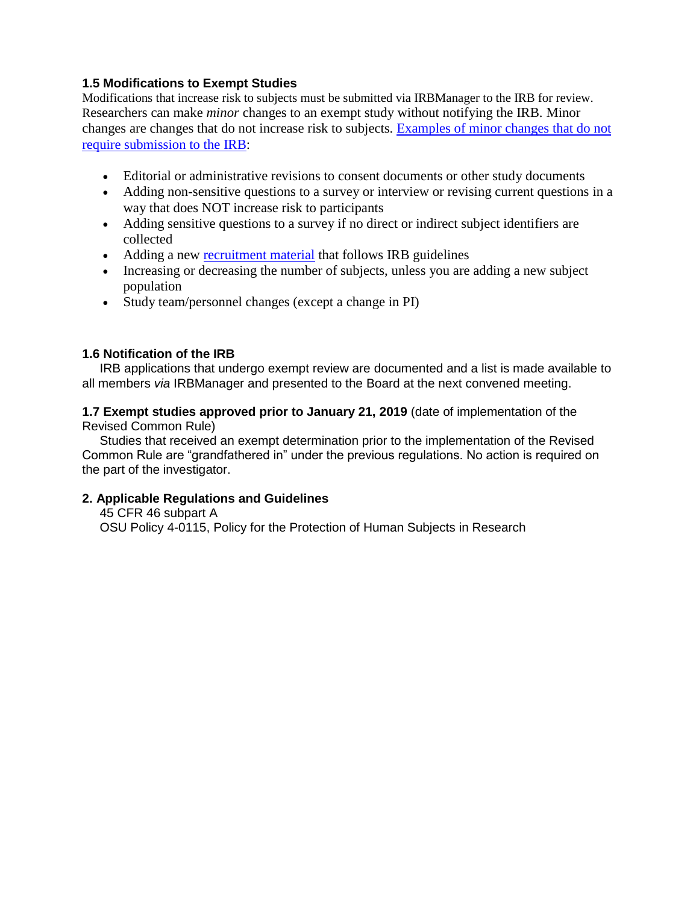### **1.5 Modifications to Exempt Studies**

Modifications that increase risk to subjects must be submitted via IRBManager to the IRB for review. Researchers can make *minor* changes to an exempt study without notifying the IRB. Minor changes are changes that do not increase risk to subjects. [Examples of minor changes](https://irb.ucsf.edu/modification) that do not [require submission](https://irb.ucsf.edu/modification) to the IRB:

- Editorial or administrative revisions to consent documents or other study documents
- Adding non-sensitive questions to a survey or interview or revising current questions in a way that does NOT increase risk to participants
- Adding sensitive questions to a survey if no direct or indirect subject identifiers are collected
- Adding a new [recruitment material](https://irb.ucsf.edu/advertising-and-recruitment-letter-guidelines) that follows IRB guidelines
- Increasing or decreasing the number of subjects, unless you are adding a new subject population
- Study team/personnel changes (except a change in PI)

### **1.6 Notification of the IRB**

 IRB applications that undergo exempt review are documented and a list is made available to all members *via* IRBManager and presented to the Board at the next convened meeting.

**1.7 Exempt studies approved prior to January 21, 2019** (date of implementation of the Revised Common Rule)

 Studies that received an exempt determination prior to the implementation of the Revised Common Rule are "grandfathered in" under the previous regulations. No action is required on the part of the investigator.

#### **2. Applicable Regulations and Guidelines**

 45 CFR 46 subpart A OSU Policy 4-0115, Policy for the Protection of Human Subjects in Research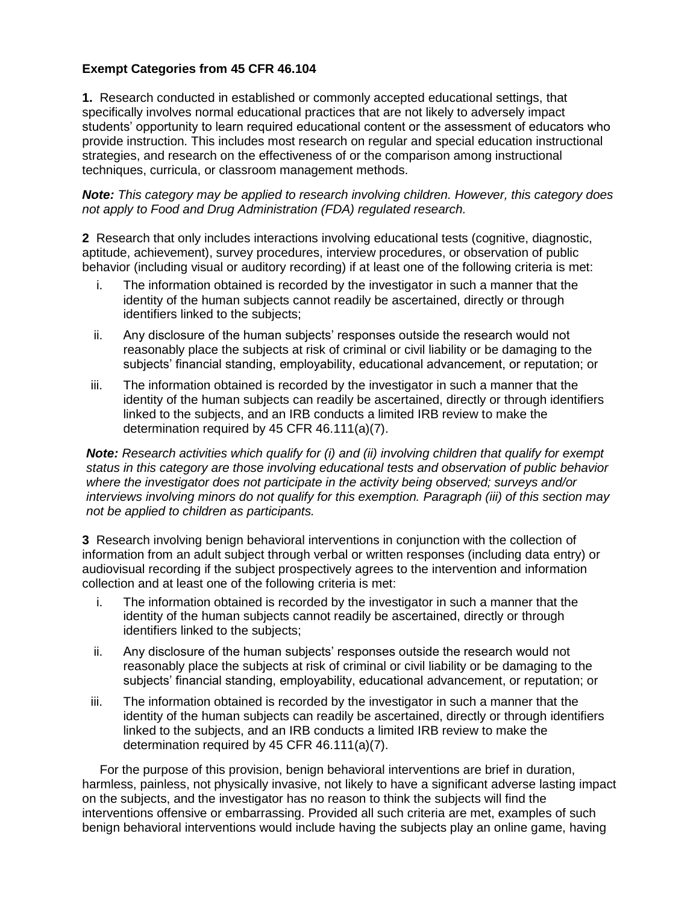### **Exempt Categories from 45 CFR 46.104**

**1.** Research conducted in established or commonly accepted educational settings, that specifically involves normal educational practices that are not likely to adversely impact students' opportunity to learn required educational content or the assessment of educators who provide instruction. This includes most research on regular and special education instructional strategies, and research on the effectiveness of or the comparison among instructional techniques, curricula, or classroom management methods.

*Note: This category may be applied to research involving children. However, this category does not apply to Food and Drug Administration (FDA) regulated research.*

**2** Research that only includes interactions involving educational tests (cognitive, diagnostic, aptitude, achievement), survey procedures, interview procedures, or observation of public behavior (including visual or auditory recording) if at least one of the following criteria is met:

- i. The information obtained is recorded by the investigator in such a manner that the identity of the human subjects cannot readily be ascertained, directly or through identifiers linked to the subjects;
- ii. Any disclosure of the human subjects' responses outside the research would not reasonably place the subjects at risk of criminal or civil liability or be damaging to the subjects' financial standing, employability, educational advancement, or reputation; or
- iii. The information obtained is recorded by the investigator in such a manner that the identity of the human subjects can readily be ascertained, directly or through identifiers linked to the subjects, and an IRB conducts a limited IRB review to make the determination required by 45 CFR 46.111(a)(7).

*Note: Research activities which qualify for (i) and (ii) involving children that qualify for exempt status in this category are those involving educational tests and observation of public behavior where the investigator does not participate in the activity being observed; surveys and/or interviews involving minors do not qualify for this exemption. Paragraph (iii) of this section may not be applied to children as participants.* 

**3** Research involving benign behavioral interventions in conjunction with the collection of information from an adult subject through verbal or written responses (including data entry) or audiovisual recording if the subject prospectively agrees to the intervention and information collection and at least one of the following criteria is met:

- i. The information obtained is recorded by the investigator in such a manner that the identity of the human subjects cannot readily be ascertained, directly or through identifiers linked to the subjects;
- ii. Any disclosure of the human subjects' responses outside the research would not reasonably place the subjects at risk of criminal or civil liability or be damaging to the subjects' financial standing, employability, educational advancement, or reputation; or
- iii. The information obtained is recorded by the investigator in such a manner that the identity of the human subjects can readily be ascertained, directly or through identifiers linked to the subjects, and an IRB conducts a limited IRB review to make the determination required by 45 CFR 46.111(a)(7).

 For the purpose of this provision, benign behavioral interventions are brief in duration, harmless, painless, not physically invasive, not likely to have a significant adverse lasting impact on the subjects, and the investigator has no reason to think the subjects will find the interventions offensive or embarrassing. Provided all such criteria are met, examples of such benign behavioral interventions would include having the subjects play an online game, having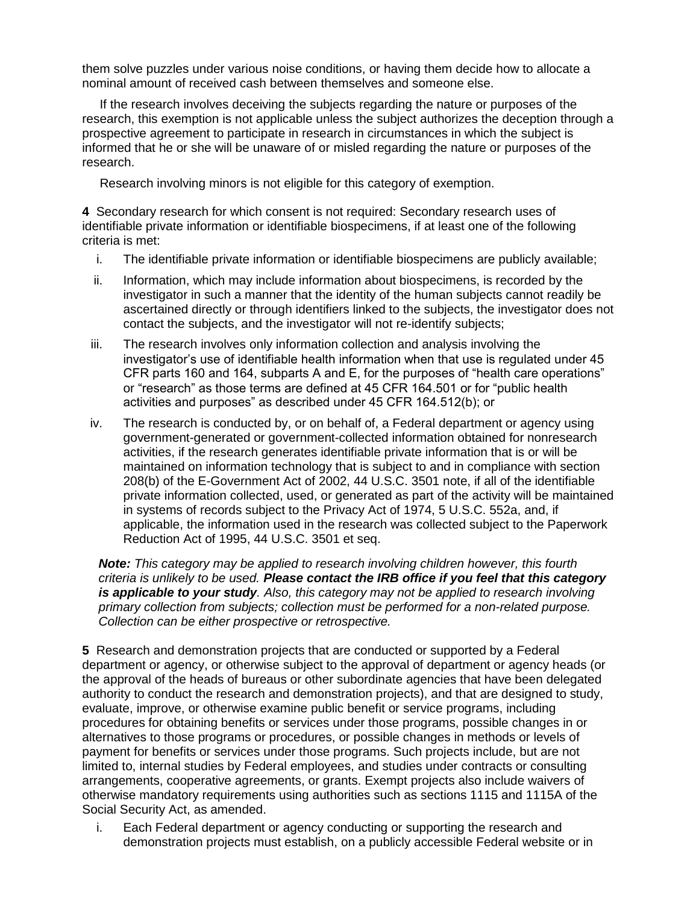them solve puzzles under various noise conditions, or having them decide how to allocate a nominal amount of received cash between themselves and someone else.

 If the research involves deceiving the subjects regarding the nature or purposes of the research, this exemption is not applicable unless the subject authorizes the deception through a prospective agreement to participate in research in circumstances in which the subject is informed that he or she will be unaware of or misled regarding the nature or purposes of the research.

Research involving minors is not eligible for this category of exemption.

**4** Secondary research for which consent is not required: Secondary research uses of identifiable private information or identifiable biospecimens, if at least one of the following criteria is met:

- i. The identifiable private information or identifiable biospecimens are publicly available;
- ii. Information, which may include information about biospecimens, is recorded by the investigator in such a manner that the identity of the human subjects cannot readily be ascertained directly or through identifiers linked to the subjects, the investigator does not contact the subjects, and the investigator will not re-identify subjects;
- iii. The research involves only information collection and analysis involving the investigator's use of identifiable health information when that use is regulated under 45 CFR parts 160 and 164, subparts A and E, for the purposes of "health care operations" or "research" as those terms are defined at 45 CFR 164.501 or for "public health activities and purposes" as described under 45 CFR 164.512(b); or
- iv. The research is conducted by, or on behalf of, a Federal department or agency using government-generated or government-collected information obtained for nonresearch activities, if the research generates identifiable private information that is or will be maintained on information technology that is subject to and in compliance with section 208(b) of the E-Government Act of 2002, 44 U.S.C. 3501 note, if all of the identifiable private information collected, used, or generated as part of the activity will be maintained in systems of records subject to the Privacy Act of 1974, 5 U.S.C. 552a, and, if applicable, the information used in the research was collected subject to the Paperwork Reduction Act of 1995, 44 U.S.C. 3501 et seq.

*Note: This category may be applied to research involving children however, this fourth criteria is unlikely to be used. Please contact the IRB office if you feel that this category is applicable to your study. Also, this category may not be applied to research involving primary collection from subjects; collection must be performed for a non-related purpose. Collection can be either prospective or retrospective.* 

**5** Research and demonstration projects that are conducted or supported by a Federal department or agency, or otherwise subject to the approval of department or agency heads (or the approval of the heads of bureaus or other subordinate agencies that have been delegated authority to conduct the research and demonstration projects), and that are designed to study, evaluate, improve, or otherwise examine public benefit or service programs, including procedures for obtaining benefits or services under those programs, possible changes in or alternatives to those programs or procedures, or possible changes in methods or levels of payment for benefits or services under those programs. Such projects include, but are not limited to, internal studies by Federal employees, and studies under contracts or consulting arrangements, cooperative agreements, or grants. Exempt projects also include waivers of otherwise mandatory requirements using authorities such as sections 1115 and 1115A of the Social Security Act, as amended.

i. Each Federal department or agency conducting or supporting the research and demonstration projects must establish, on a publicly accessible Federal website or in